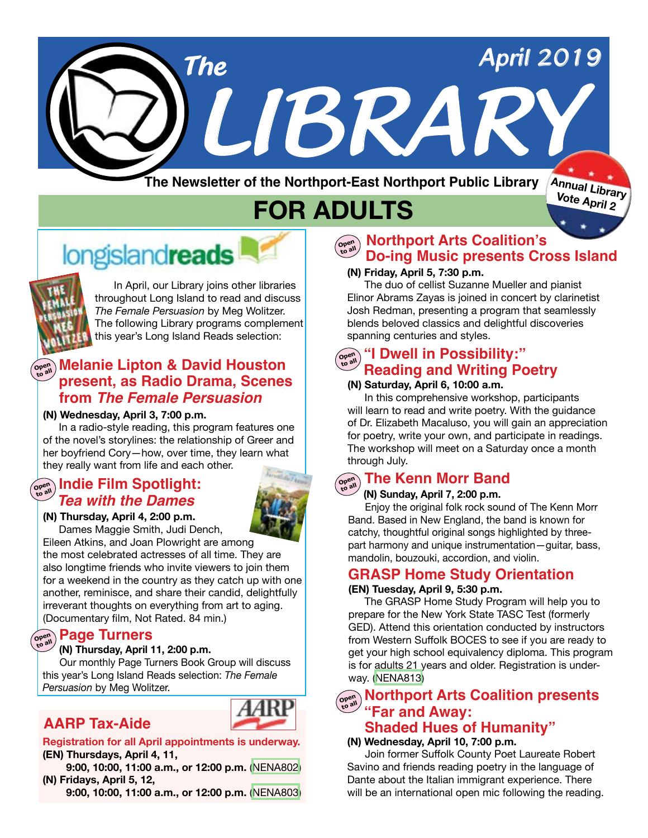

**The Newsletter of the Northport-East Northport Public Library**

**FOR ADULTS**

# **longislandreads**



In April, our Library joins other libraries throughout Long Island to read and discuss *The Female Persuasion* by Meg Wolitzer. The following Library programs complement this year's Long Island Reads selection:

## **Melanie Lipton & David Houston present, as Radio Drama, Scenes from** *The Female Persuasion*

#### **(N) Wednesday, April 3, 7:00 p.m.**

 In a radio-style reading, this program features one of the novel's storylines: the relationship of Greer and her boyfriend Cory—how, over time, they learn what they really want from life and each other.

## <u>Copen Indie Film Spotlight:</u><br>———————————————————— *Tea with the Dames*

#### **(N) Thursday, April 4, 2:00 p.m.**

Dames Maggie Smith, Judi Dench,

Eileen Atkins, and Joan Plowright are among the most celebrated actresses of all time. They are also longtime friends who invite viewers to join them for a weekend in the country as they catch up with one another, reminisce, and share their candid, delightfully irreverant thoughts on everything from art to aging. (Documentary film, Not Rated. 84 min.)

## **Page Turners Open to all**

#### **(N) Thursday, April 11, 2:00 p.m.**

 Our monthly Page Turners Book Group will discuss this year's Long Island Reads selection: *The Female Persuasion* by Meg Wolitzer.

## **AARP Tax-Aide**



**Registration for all April appointments is underway. (EN) Thursdays, April 4, 11,**

 **9:00, 10:00, 11:00 a.m., or 12:00 p.m.** ([NENA802](https://search.livebrary.com/record=g1089111~S43)) **(N) Fridays, April 5, 12,**

 **9:00, 10:00, 11:00 a.m., or 12:00 p.m.** ([NENA803](https://search.livebrary.com/record=g1089298~S43))

#### **Northport Arts Coalition's**<br> **Position Music presents Cr Do-ing Music presents Cross Island**

**Vote April 2**

#### **(N) Friday, April 5, 7:30 p.m.**

 The duo of cellist Suzanne Mueller and pianist Elinor Abrams Zayas is joined in concert by clarinetist Josh Redman, presenting a program that seamlessly blends beloved classics and delightful discoveries spanning centuries and styles.

## $\begin{bmatrix} \mathbb{P}^{\text{open}} \\ \mathbb{P}^{\text{gen}} \end{bmatrix}$   $\begin{bmatrix} \mathbb{I} & \mathsf{D}\mathbb{W}\mathbb{P} \mathbb{I} \end{bmatrix}$  in Possibility:" **Reading and Writing Poetry**

#### **(N) Saturday, April 6, 10:00 a.m.**

In this comprehensive workshop, participants will learn to read and write poetry. With the guidance of Dr. Elizabeth Macaluso, you will gain an appreciation for poetry, write your own, and participate in readings. The workshop will meet on a Saturday once a month through July.

## $\overline{\mathbf{Cov}}$  **The Kenn Morr Band**

#### **(N) Sunday, April 7, 2:00 p.m.**

 Enjoy the original folk rock sound of The Kenn Morr Band. Based in New England, the band is known for catchy, thoughtful original songs highlighted by threepart harmony and unique instrumentation—guitar, bass, mandolin, bouzouki, accordion, and violin.

## **GRASP Home Study Orientation**

#### **(EN) Tuesday, April 9, 5:30 p.m.**

 The GRASP Home Study Program will help you to prepare for the New York State TASC Test (formerly GED). Attend this orientation conducted by instructors from Western Suffolk BOCES to see if you are ready to get your high school equivalency diploma. This program is for adults 21 years and older. Registration is underway. ([NENA813](https://search.livebrary.com/record=g1089306~S43))

#### **Northport Arts Coalition presents "Far and Away: Open to all Shaded Hues of Humanity"**

#### **(N) Wednesday, April 10, 7:00 p.m.**

 Join former Suffolk County Poet Laureate Robert Savino and friends reading poetry in the language of Dante about the Italian immigrant experience. There will be an international open mic following the reading.

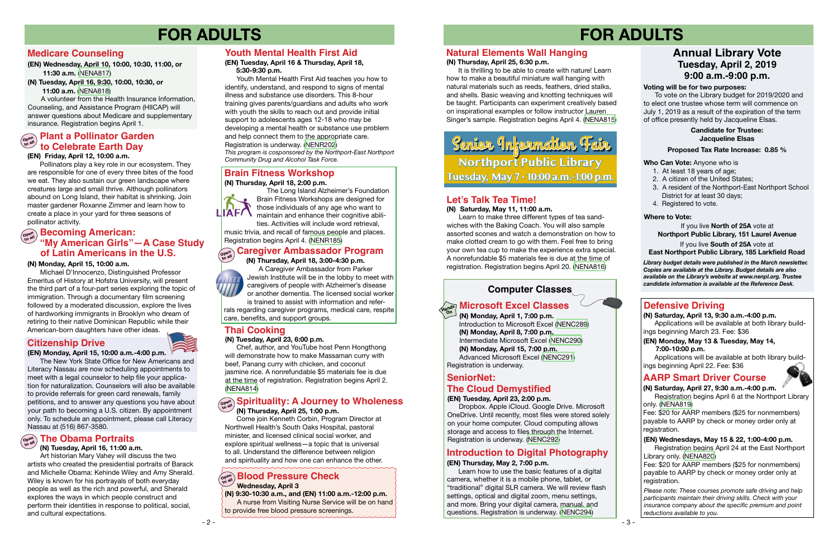#### **Computer Classes**

## **Microsoft Excel Classes**

## **FOR ADULTS FOR ADULTS**

#### **Defensive Driving**

*Please note: These courses promote safe driving and help participants maintain their driving skills. Check with your insurance company about the specific premium and point reductions available to you.*

#### **AARP Smart Driver Course**

**(N) Saturday, April 27, 9:30 a.m.-4:00 p.m.** 

Registration begins April 6 at the Northport Library only. ([NENA819](https://search.livebrary.com/record=g1090040~S43))

Fee: \$20 for AARP members (\$25 for nonmembers) payable to AARP by check or money order only at registration.

#### (EN) Wednesdays, May 15 & 22, 1:00-4:00 p.m.

#### **(EN) Friday, April 12, 10:00 a.m.**

 Learn how to use the basic features of a digital camera, whether it is a mobile phone, tablet, or "traditional" digital SLR camera. We will review flash settings, optical and digital zoom, menu settings, and more. Bring your digital camera, manual, and questions. Registration is underway. ([NENC294](https://search.livebrary.com/record=g1090103~S43)) **Example 8 by the state of a state of a state of a state of a state of a state of a state of a state of a state of a state of a state of a state of a state of a state of**  $\mathbb{R}^n$ **. <b>Blood Pressure Check**  $\mathbb{R}^n$ 

 Pollinators play a key role in our ecosystem. They are responsible for one of every three bites of the food we eat. They also sustain our green landscape where creatures large and small thrive. Although pollinators abound on Long Island, their habitat is shrinking. Join master gardener Roxanne Zimmer and learn how to create a place in your yard for three seasons of pollinator activity. pollinator activity.

> **(N) Saturday, April 13, 9:30 a.m.-4:00 p.m.** Applications will be available at both library buildings beginning March 23. Fee: \$36

### **Introduction to Digital Photography**

#### **(EN) Thursday, May 2, 7:00 p.m.**

#### **Who Can Vote:** Anyone who is

 Dropbox. Apple iCloud. Google Drive. Microsoft OneDrive. Until recently, most files were stored solely on your home computer. Cloud computing allows storage and access to files through the Internet.<br>Registration is underway. (NENC292)

- 1. At least 18 years of age;
- 2. A citizen of the United States;
- 3. A resident of the Northport-East Northport School District for at least 30 days;
- 4. Registered to vote.

## **Annual Library Vote Tuesday, April 2, 2019 9:00 a.m.-9:00 p.m.**

#### **Voting will be for two purposes:**

 To vote on the Library budget for 2019/2020 and to elect one trustee whose term will commence on July 1, 2019 as a result of the expiration of the term of office presently held by Jacqueline Elsas.

## **Plant a Pollinator Garden**<br> **Part & Colchusts Farth Day to Celebrate Earth Day**

If you live **North of 25A** vote at **Northport Public Library, 151 Laurel Avenue** If you live **South of 25A** vote at **East Northport Public Library, 185 Larkfield Road**

#### **Where to Vote:**

#### **Proposed Tax Rate Increase: 0.85 %**

#### **Candidate for Trustee: Jacqueline Elsas**

*Library budget details were published in the March newsletter. Copies are available at the Library. Budget details are also available on the Library's website at www.nenpl.org. Trustee candidate information is available at the Reference Desk.*

#### **Open to all "My American Girls"—A Case Study Becoming American: of Latin Americans in the U.S.**

## **Brain Fitness Workshop**

#### **(EN) Tuesday, April 16 & Thursday, April 18, 5:30-9:30 p.m.**

Youth Mental Health First Aid teaches you how to identify, understand, and respond to signs of mental illness and substance use disorders. This 8-hour training gives parents/guardians and adults who work with youth the skills to reach out and provide initial support to adolescents ages 12-18 who may be developing a mental health or substance use problem and help connect them to the appropriate care. Registration is underway. [\(NENR202](https://search.livebrary.com/record=g1090145~S43)) *This program is cosponsored by the Northport-East Northport* 

*Community Drug and Alcohol Task Force.*

#### **Youth Mental Health First Aid**

### **SeniorNet:**

#### **(EN) Tuesday, April 23, 2:00 p.m.**

## **Spirituality: A Journey to Wholeness (N) Thursday, April 25, 1:00 p.m.**

Registration begins April 24 at the East Northport Library only. ([NENA820](https://search.livebrary.com/record=g1090041~S43))

Fee: \$20 for AARP members (\$25 for nonmembers) payable to AARP by check or money order only at

## **Wednesday, April 3**

## **(N) 9:30-10:30 a.m., and (EN) 11:00 a.m.-12:00 p.m.**

A nurse from Visiting Nurse Service will be on hand to provide free blood pressure screenings.

#### **(N) Monday, April 15, 10:00 a.m.**

 Michael D'Innocenzo, Distinguished Professor Emeritus of History at Hofstra University, will present the third part of a four-part series exploring the topic of immigration. Through a documentary film screening followed by a moderated discussion, explore the lives of hardworking immigrants in Brooklyn who dream of retiring to their native Dominican Republic while their American-born daughters have other ideas.

#### **(EN) Monday, April 15, 10:00 a.m.-4:00 p.m.**

The New York State Office for New Americans and Literacy Nassau are now scheduling appointments to meet with a legal counselor to help file your application for naturalization. Counselors will also be available to provide referrals for green card renewals, family petitions, and to answer any questions you have about your path to becoming a U.S. citizen. By appointment only. To schedule an appointment, please call Literacy Nassau at (516) 867-3580.

**Citizenship Drive** 

 **(N) Thursday, April 18, 2:00 p.m.**



 The Long Island Alzheimer's Foundation Brain Fitness Workshops are designed for those individuals of any age who want to maintain and enhance their cognitive abili-

ties. Activities will include word retrieval, music trivia, and recall of famous people and places. Registration begins April 4. ([NENR185\)](https://search.livebrary.com/record=g1090149~S43)

#### **(N) Thursday, April 18, 3:00-4:30 p.m.**

A Caregiver Ambassador from Parker



Jewish Institute will be in the lobby to meet with caregivers of people with Alzheimer's disease or another dementia. The licensed social worker is trained to assist with information and refer-

rals regarding caregiver programs, medical care, respite care, benefits, and support groups.

#### **(N) Tuesday, April 23, 6:00 p.m.**

Chef, author, and YouTube host Penn Hongthong will demonstrate how to make Massaman curry with beef, Panang curry with chicken, and coconut jasmine rice. A nonrefundable \$5 materials fee is due at the time of registration. Registration begins April 2. [\(NENA814](https://search.livebrary.com/record=g1090060~S43))

#### **Thai Cooking**

### **(N) Tuesday, April 16, 11:00 a.m.**

Art historian Mary Vahey will discuss the two artists who created the presidential portraits of Barack and Michelle Obama: Kehinde Wiley and Amy Sherald. Wiley is known for his portrayals of both everyday people as well as the rich and powerful, and Sherald explores the ways in which people construct and perform their identities in response to political, social, and cultural expectations.

## **Open The Obama Portraits to all**

 Come join Kenneth Corbin, Program Director at Northwell Health's South Oaks Hospital, pastoral minister, and licensed clinical social worker, and explore spiritual wellness—a topic that is universal to all. Understand the difference between religion and spirituality and how one can enhance the other.

#### **(N) Thursday, April 25, 6:30 p.m.**

#### **Caregiver Ambassador Program Open to all**

It is thrilling to be able to create with nature! Learn how to make a beautiful miniature wall hanging with natural materials such as reeds, feathers, dried stalks, and shells. Basic weaving and knotting techniques will be taught. Participants can experiment creatively based on inspirational examples or follow instructor Lauren Singer's sample. Registration begins April 4. [\(NENA815](https://search.livebrary.com/record=g1090062~S43))

#### **Natural Elements Wall Hanging**

#### **(N) Saturday, May 11, 11:00 a.m.**

 Learn to make three different types of tea sandwiches with the Baking Coach. You will also sample assorted scones and watch a demonstration on how to make clotted cream to go with them. Feel free to bring your own tea cup to make the experience extra special. A nonrefundable \$5 materials fee is due at the time of registration. Registration begins April 20. [\(NENA816](https://search.livebrary.com/record=g1090063~S43))

#### **Let's Talk Tea Time!**

 **(N) Monday, April 1, 7:00 p.m.** Introduction to Microsoft Excel [\(NENC289\)](https://search.livebrary.com/record=g1090063~S43)  **(N) Monday, April 8, 7:00 p.m.** Intermediate Microsoft Excel [\(NENC290\)](https://search.livebrary.com/record=g1000954~S43)  **(N) Monday, April 15, 7:00 p.m.** Advanced Microsoft Excel [\(NENC291](https://search.livebrary.com/record=g1083595~S43)) Registration is underway. **On**

## **The Cloud Demystified**

**(EN) Wednesday, April 10, 10:00, 10:30, 11:00, or 11:30 a.m.** [\(NENA817\)](https://search.livebrary.com/record=g1090036~S43)

**(N) Tuesday, April 16, 9:30, 10:00, 10:30, or** 

 **11:00 a.m.** [\(NENA818](https://search.livebrary.com/record=g1090038~S43))

 A volunteer from the Health Insurance Information, Counseling, and Assistance Program (HIICAP) will answer questions about Medicare and supplementary insurance. Registration begins April 1.

#### **Medicare Counseling**

#### **(EN) Monday, May 13 & Tuesday, May 14, 7:00-10:00 p.m.**

Applications will be available at both library buildings beginning April 22. Fee: \$36

## **Northport Public Library Tuesday, May 7 • 10:00 a.m.-1:00 p.m.**  Senior Information Fair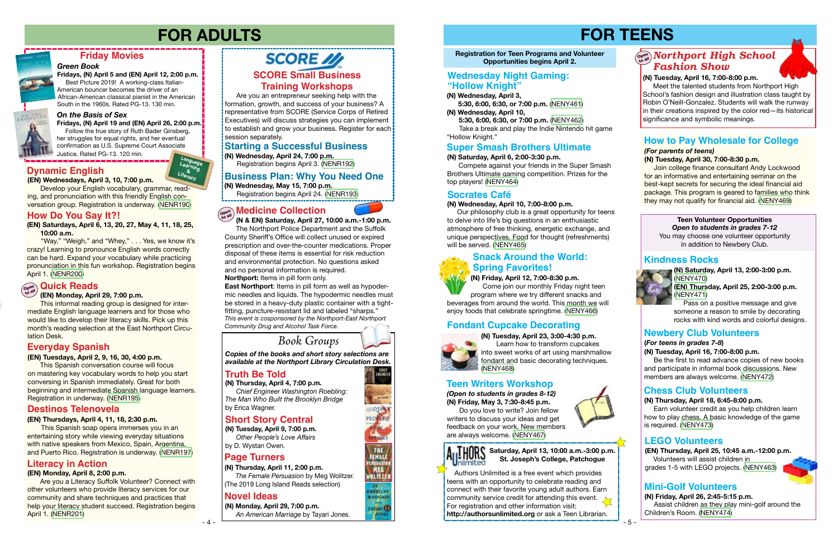### *On the Basis of Sex*

**Fridays, (N) April 19 and (EN) April 26, 2:00 p.m.** Follow the true story of Ruth Bader Ginsberg, her struggles for equal rights, and her eventual confirmation as U.S. Supreme Court Associate Justice. Rated PG-13. 120 min.

## **Friday Movies**

#### *Green Book*

**Fridays, (N) April 5 and (EN) April 12, 2:00 p.m.** Best Picture 2019! A working-class Italian-American bouncer becomes the driver of an African-American classical pianist in the American South in the 1960s. Rated PG-13. 130 min.



# **FOR ADULTS FOR TEENS**

## **Page Turners**

## **Novel Ideas**

**(N) Thursday, April 11, 2:00 p.m.** *The Female Persuasion* by Meg Wolitzer. (The 2019 Long Island Reads selection)

*Copies of the books and short story selections are available at the Northport Library Circulation Desk.*

**(N) Monday, April 29, 7:00 p.m.** *An American Marriage* by Tayari Jones.

#### **Registration for Teen Programs and Volunteer Opportunities begins April 2.**

## **Socrates Café**

#### **(N) Wednesday, April 10, 7:00-8:00 p.m.**

 Our philosophy club is a great opportunity for teens to delve into life's big questions in an enthusiastic atmosphere of free thinking, energetic exchange, and unique perspectives. Food for thought (refreshments) will be served. [\(NENY465](https://search.livebrary.com/record=g1089850~S43))

## **How to Pay Wholesale for College**

#### *(For parents of teens)* **(N) Tuesday, April 30, 7:00-8:30 p.m.**

 Join college finance consultant Andy Lockwood for an informative and entertaining seminar on the best-kept secrets for securing the ideal financial aid package. This program is geared to families who think they may not qualify for financial aid. [\(NENY469\)](https://search.livebrary.com/record=g1089875~S43)

 Authors Unlimited is a free event which provides teens with an opportunity to celebrate reading and connect with their favorite young adult authors. Earn community service credit for attending this event. For registration and other information visit: **http://authorsunlimited.org** or ask a Teen Librarian.





**LAYANT CD** 







### **Truth Be Told**

**(N) Thursday, April 4, 7:00 p.m.** *Chief Engineer Washington Roebling: The Man Who Built the Brooklyn Bridge* by Erica Wagner.

#### **(EN) Tuesdays, April 2, 9, 16, 30, 4:00 p.m.**

This Spanish conversation course will focus on mastering key vocabulary words to help you start conversing in Spanish immediately. Great for both beginning and intermediate Spanish language learners. Registration in underway. ([NENR195\)](https://search.livebrary.com/record=g1089344~S43)

## **Everyday Spanish**

#### **(EN) Wednesdays, April 3, 10, 7:00 p.m. Dynamic English**

Develop your English vocabulary, grammar, reading, and pronunciation with this friendly English conversation group. Registration is underway. ([NENR190](https://search.livebrary.com/record=g1088634~S43))

#### **(EN) Thursdays, April 4, 11, 18, 2:30 p.m.**

This Spanish soap opera immerses you in an entertaining story while viewing everyday situations with native speakers from Mexico, Spain, Argentina, and Puerto Rico. Registration is underway. [\(NENR197](https://search.livebrary.com/record=g1089476~S43))

## $\mathcal{L}_{\mathcal{B}}^{\mathsf{open}}$  Northport High School *Fashion Show*

### **Destinos Telenovela**

## **Literacy in Action**

#### **(EN) Monday, April 8, 2:00 p.m.**

 Are you a Literacy Suffolk Volunteer? Connect with other volunteers who provide literacy services for our community and share techniques and practices that help your literacy student succeed. Registration begins April 1. ([NENR201\)](https://search.livebrary.com/record=g1090131~S43)

## **SCORE**

 Are you an entrepreneur seeking help with the formation, growth, and success of your business? A representative from SCORE (Service Corps of Retired Executives) will discuss strategies you can implement to establish and grow your business. Register for each session separately.

#### **SCORE Small Business Training Workshops**

#### **Starting a Successful Business**

**(N) Wednesday, April 24, 7:00 p.m.**

Registration begins April 3. ([NENR192\)](https://search.livebrary.com/record=g1090151~S43)

#### **Business Plan: Why You Need One**

**(N) Wednesday, May 15, 7:00 p.m.**

Registration begins April 24. ([NENR193](https://search.livebrary.com/record=g1090152~S43))

 **(N & EN) Saturday, April 27, 10:00 a.m.-1:00 p.m.** The Northport Police Department and the Suffolk County Sheriff's Office will collect unused or expired prescription and over-the-counter medications. Proper

disposal of these items is essential for risk reduction and environmental protection. No questions asked and no personal information is required. **Northport:** Items in pill form only.

## **Medicine Collection Open to all**

**East Northport**: Items in pill form as well as hypodermic needles and liquids. The hypodermic needles must be stored in a heavy-duty plastic container with a tightfitting, puncture-resistant lid and labeled "sharps." *This event is cosponsored by the Northport-East Northport Community Drug and Alcohol Task Force*.



## **(N) Wednesday, April 3,**

 **5:30, 6:00, 6:30, or 7:00 p.m.** [\(NENY461](https://search.livebrary.com/record=g1089821~S43)) **(N) Wednesday, April 10,**

 **5:30, 6:00, 6:30, or 7:00 p.m.** [\(NENY462\)](https://search.livebrary.com/record=g1089824~S43) Take a break and play the Indie Nintendo hit game "Hollow Knight."

## **Wednesday Night Gaming: "Hollow Knight"**

#### **Super Smash Brothers Ultimate**

#### **(N) Saturday, April 6, 2:00-3:30 p.m.**

 Compete against your friends in the Super Smash Brothers Ultimate gaming competition. Prizes for the top players! ([NENY464\)](https://search.livebrary.com/record=g1089840~S43)

**(N) Friday, April 12, 7:00-8:30 p.m.**

 Come join our monthly Friday night teen program where we try different snacks and beverages from around the world. This month we will enjoy foods that celebrate springtime. [\(NENY466\)](https://search.livebrary.com/record=g1089851~S43)

## **Snack Around the World: Spring Favorites!**

## **Fondant Cupcake Decorating**

**(N) Tuesday, April 23, 3:00-4:30 p.m.** Learn how to transform cupcakes into sweet works of art using marshmallow fondant and basic decorating techniques.





 Meet the talented students from Northport High School's fashion design and illustration class taught by Robin O'Neill-Gonzalez. Students will walk the runway in their creations inspired by the color red—its historical significance and symbolic meanings.

#### **(***For teens in grades 7-8***)**

#### **(N) Tuesday, April 16, 7:00-8:00 p.m.**

 Be the first to read advance copies of new books and participate in informal book discussions. New members are always welcome. [\(NENY472\)](https://search.livebrary.com/record=g1089912~S43)

**(N) Saturday, April 13, 2:00-3:00 p.m.** ([NENY470\)](https://search.livebrary.com/record=g1089883~S43)

**(EN) Thursday, April 25, 2:00-3:00 p.m.** ([NENY471\)](https://search.livebrary.com/record=g1089901~S43)

 Pass on a positive message and give someone a reason to smile by decorating rocks with kind words and colorful designs.

## **Teen Volunteer Opportunities**

*Open to students in grades 7-12* You may choose one volunteer opportunity in addition to Newbery Club.

## **Mini-Golf Volunteers**

**(N) Thursday, April 18, 6:45-8:00 p.m.** 

 Earn volunteer credit as you help children learn how to play chess. A basic knowledge of the game is required. ([NENY473\)](https://search.livebrary.com/record=g1089957~S43)

### **Chess Club Volunteers**

### **Kindness Rocks**



## **Newbery Club Volunteers**

## **(N) Friday, April 26, 2:45-5:15 p.m.**

 Assist children as they play mini-golf around the Children's Room. [\(NENY474](https://search.livebrary.com/record=g1089960~S43))

## **Short Story Central**

**(N) Tuesday, April 9, 7:00 p.m.** *Other People's Love Affairs* by D. Wystan Owen.



*(Open to students in grades 8-12)* **(N) Friday, May 3, 7:30-8:45 p.m.**

 Do you love to write? Join fellow writers to discuss your ideas and get feedback on your work. New members are always welcome. [\(NENY467\)](https://search.livebrary.com/record=g1089995~S43)



#### **THORS Saturday, April 13, 10:00 a.m.-3:00 p.m. St. Joseph's College, Patchogue J**nlimited

## **Teen Writers Workshop**

#### **LEGO Volunteers**

**(EN) Thursday, April 25, 10:45 a.m.-12:00 p.m.**  Volunteers will assist children in grades 1-5 with LEGO projects. [\(NENY463\)](https://search.livebrary.com/record=g1090054~S43)

**(EN) Saturdays, April 6, 13, 20, 27, May 4, 11, 18, 25, 10:00 a.m.**

"Way," "Weigh," and "Whey," . . . Yes, we know it's crazy! Learning to pronounce English words correctly can be hard. Expand your vocabulary while practicing pronunciation in this fun workshop. Registration begins April 1. [\(NENR200](https://search.livebrary.com/record=g1090079~S43))

### **How Do You Say It?!**

#### **(EN) Monday, April 29, 7:00 p.m.**

## **Open to all Quick Reads**

This informal reading group is designed for intermediate English language learners and for those who would like to develop their literacy skills. Pick up this month's reading selection at the East Northport Circulation Desk.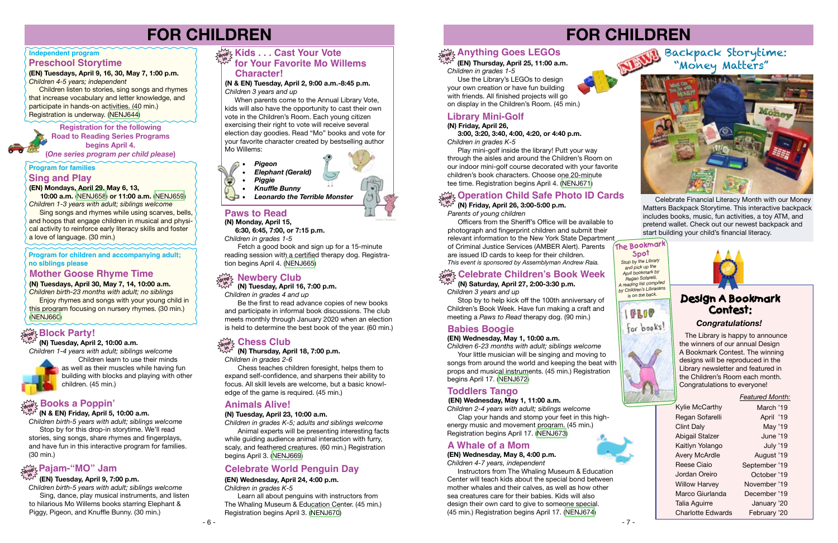

**Registration for the following Road to Reading Series Programs begins April 4. (***One series program per child please***)**

**(EN) Mondays, April 29, May 6, 13,** 

 **10:00 a.m.** [\(NENJ658\)](https://search.livebrary.com/record=g1089987~S43) **or 11:00 a.m.** [\(NENJ659\)](https://search.livebrary.com/record=g1089988~S43) *Children 1-3 years with adult; siblings welcome*

Sing songs and rhymes while using scarves, bells, and hoops that engage children in musical and physical activity to reinforce early literacy skills and foster a love of language. (30 min.)

## **drop Pajam-"MO" Jam**

#### **Sing and Play**

#### **(EN) Wednesday, May 1, 11:00 a.m.**

#### **in (EN) Tuesday, April 9, 7:00 p.m.**

*Children 2-4 years with adult; siblings welcome* Clap your hands and stomp your feet in this high-

energy music and movement program. (45 min.) Registration begins April 17. [\(NENJ673\)](https://search.livebrary.com/record=g1089986~S43)

## **Toddlers Tango**

#### **drop in Chess Club**

 **(N) Thursday, April 18, 7:00 p.m.** *Children in grades 2-6*

 Chess teaches children foresight, helps them to expand self-confidence, and sharpens their ability to focus. All skill levels are welcome, but a basic knowledge of the game is required. (45 min.)

## **Program for families**

## **FOR CHILDREN**

*Children birth-5 years with adult; siblings welcome* Sing, dance, play musical instruments, and listen to hilarious Mo Willems books starring Elephant & Piggy, Pigeon, and Knuffle Bunny. (30 min.)

#### **(EN) Wednesday, May 1, 10:00 a.m.**

*Children 6-23 months with adult; siblings welcome* 

 Your little musician will be singing and moving to songs from around the world and keeping the beat with props and musical instruments. (45 min.) Registration begins April 17. [\(NENJ672\)](https://search.livebrary.com/record=g1089985~S43)

## **Kids . . . Cast Your Vote property for Your Favorite Mo Willems Character!**

## **Babies Boogie**

 **(N) Tuesday, April 16, 7:00 p.m.** *Children in grades 4 and up*

 Be the first to read advance copies of new books and participate in informal book discussions. The club meets monthly through January 2020 when an election is held to determine the best book of the year. (60 min.)

#### **Program for children and accompanying adult; no siblings please**

**(N) Tuesdays, April 30, May 7, 14, 10:00 a.m.** 

*Children birth-23 months with adult; no siblings* **Enjoy rhymes and songs with your young child in** this program focusing on nursery rhymes. (30 min.)

[\(NENJ660\)](https://search.livebrary.com/record=g1089872~S43)

### **Mother Goose Rhyme Time**

#### **(EN) Tuesdays, April 9, 16, 30, May 7, 1:00 p.m.**

*Children 4-5 years; independent* 

#### **Independent program Preschool Storytime**

 Children listen to stories, sing songs and rhymes that increase vocabulary and letter knowledge, and participate in hands-on activities. (40 min.) Registration is underway. ([NENJ644](https://search.livebrary.com/record=g1088581~S43))

> **Instructors from The Whaling Museum & Education** Center will teach kids about the special bond between mother whales and their calves, as well as how other sea creatures care for their babies. Kids will also design their own card to give to someone special. (45 min.) Registration begins April 17. ([NENJ674\)](https://search.livebrary.com/record=g1087132~S43)

#### **(N & EN) Tuesday, April 2, 9:00 a.m.-8:45 p.m.** *Children 3 years and up*

 When parents come to the Annual Library Vote, kids will also have the opportunity to cast their own vote in the Children's Room. Each young citizen exercising their right to vote will receive several election day goodies. Read "Mo" books and vote for your favorite character created by bestselling author Mo Willems:

**in (N & EN) Friday, April 5, 10:00 a.m.**

## **drop Books a Poppin'**

*Children birth-5 years with adult; siblings welcome* Stop by for this drop-in storytime. We'll read stories, sing songs, share rhymes and fingerplays, and have fun in this interactive program for families. (30 min.)

> Learn all about penguins with instructors from The Whaling Museum & Education Center. (45 min.) Registration begins April 3. ([NENJ670](https://search.livebrary.com/record=g1087133~S43))

 The Library is happy to announce the winners of our annual Design A Bookmark Contest. The winning designs will be reproduced in the Library newsletter and featured in the Children's Room each month. Congratulations to everyone!

#### **Operation Child Safe Photo ID Cards drop in**

#### *Congratulations!*

#### *Featured Month:*

- Kylie McCarthy Regan Sofarelli Clint Daly Abigail Stalzer Kaitlyn Yolango Avery McArdle Reese Ciaio Jordan Oreiro Willow Harvey Marco Giurlanda Talia Aguirre Charlotte Edwards
- March '19 April '19 May '19 June '19 July '19 August '19 September '19 October '19 November '19 December '19 January '20 February '20

## **Design A Bookmark Contest:**

#### **(N) Tuesday, April 23, 10:00 a.m.**

*Children in grades K-5; adults and siblings welcome* Animal experts will be presenting interesting facts while guiding audience animal interaction with furry, scaly, and feathered creatures. (60 min.) Registration begins April 3. ([NENJ669](https://search.livebrary.com/record=g1089882~S43))

## **Animals Alive!**

## **Library Mini-Golf**

**(N) Friday, April 26,** 

 **3:00, 3:20, 3:40, 4:00, 4:20, or 4:40 p.m.** *Children in grades K-5*

 Play mini-golf inside the library! Putt your way through the aisles and around the Children's Room on our indoor mini-golf course decorated with your favorite children's book characters. Choose one 20-minute tee time. Registration begins April 4. ([NENJ671](https://search.livebrary.com/record=g1086091~S43))



## **A Whale of a Mom**

## **(EN) Wednesday, May 8, 4:00 p.m.**

*Children 4-7 years, independent*

### **(N) Saturday, April 27, 2:00-3:30 p.m.**

*Children 3 years and up*

 Stop by to help kick off the 100th anniversary of Children's Book Week. Have fun making a craft and meeting a *Paws to Read* therapy dog. (90 min.)

## **drop Celebrate Children's Book Week in**

# **FOR CHILDREN**

Celebrate Financial Literacy Month with our Money Matters Backpack Storytime. This interactive backpack includes books, music, fun activities, a toy ATM, and pretend wallet. Check out our newest backpack and start building your child's financial literacy.

## Backpack Storytime: "Money Matters"



*Stop by the Library and pick up the April bookmark by Regan Sofarelli. A reading list compiled by Children's Librarians is on the back.*







#### **(N) Tuesday, April 2, 10:00 a.m.**

*Children 1-4 years with adult; siblings welcome*



Children learn to use their minds as well as their muscles while having fun building with blocks and playing with other children. (45 min.)

## **drop in Block Party!**

## **Paws to Read**

 **6:30, 6:45, 7:00, or 7:15 p.m.**

*Children in grades 1-5*

 Fetch a good book and sign up for a 15-minute reading session with a certified therapy dog. Registration begins April 4. ([NENJ665](https://search.livebrary.com/record=g1089876~S43))

## **drop <b>Rewbery Club**<br> **in in I** Tuesday, April 16

## **Celebrate World Penguin Day**

#### **(EN) Wednesday, April 24, 4:00 p.m.**

*Children in grades K-5*

 **(EN) Thursday, April 25, 11:00 a.m.** 

## **Anything Goes LEGOs drop in**

*Children in grades 1-5* Use the Library's LEGOs to design your own creation or have fun building with friends. All finished projects will go on display in the Children's Room. (45 min.)



#### **(N) Friday, April 26, 3:00-5:00 p.m.**

*Parents of young children*

Officers from the Sheriff's Office will be available to photograph and fingerprint children and submit their relevant information to the New York State Department of Criminal Justice Services (AMBER Alert). Parents are issued ID cards to keep for their children. *This event is sponsored by Assemblyman Andrew Raia.*